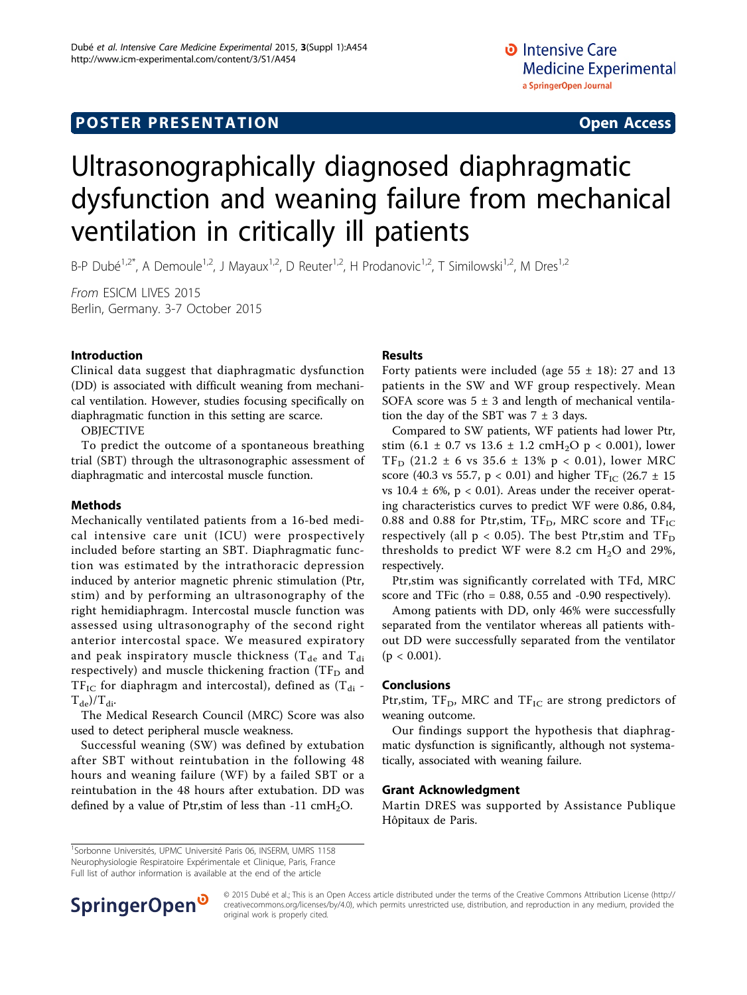# **POSTER PRESENTATION CONSUMING ACCESS**

# Ultrasonographically diagnosed diaphragmatic dysfunction and weaning failure from mechanical ventilation in critically ill patients

B-P Dubé<sup>1,2\*</sup>, A Demoule<sup>1,2</sup>, J Mayaux<sup>1,2</sup>, D Reuter<sup>1,2</sup>, H Prodanovic<sup>1,2</sup>, T Similowski<sup>1,2</sup>, M Dres<sup>1,2</sup>

From ESICM LIVES 2015 Berlin, Germany. 3-7 October 2015

## Introduction

Clinical data suggest that diaphragmatic dysfunction (DD) is associated with difficult weaning from mechanical ventilation. However, studies focusing specifically on diaphragmatic function in this setting are scarce.

#### OBJECTIVE

To predict the outcome of a spontaneous breathing trial (SBT) through the ultrasonographic assessment of diaphragmatic and intercostal muscle function.

## **Methods**

Mechanically ventilated patients from a 16-bed medical intensive care unit (ICU) were prospectively included before starting an SBT. Diaphragmatic function was estimated by the intrathoracic depression induced by anterior magnetic phrenic stimulation (Ptr, stim) and by performing an ultrasonography of the right hemidiaphragm. Intercostal muscle function was assessed using ultrasonography of the second right anterior intercostal space. We measured expiratory and peak inspiratory muscle thickness ( $T_{de}$  and  $T_{di}$ respectively) and muscle thickening fraction (TF $_D$  and  $TF_{IC}$  for diaphragm and intercostal), defined as  $(T_{di} T_{de}/T_{di}.$ 

The Medical Research Council (MRC) Score was also used to detect peripheral muscle weakness.

Successful weaning (SW) was defined by extubation after SBT without reintubation in the following 48 hours and weaning failure (WF) by a failed SBT or a reintubation in the 48 hours after extubation. DD was defined by a value of Ptr, stim of less than -11  $\text{cm}H_2\text{O}$ .

#### Results

Forty patients were included (age  $55 \pm 18$ ): 27 and 13 patients in the SW and WF group respectively. Mean SOFA score was  $5 \pm 3$  and length of mechanical ventilation the day of the SBT was  $7 \pm 3$  days.

Compared to SW patients, WF patients had lower Ptr, stim (6.1  $\pm$  0.7 vs 13.6  $\pm$  1.2 cmH<sub>2</sub>O p < 0.001), lower  $TF_D$  (21.2 ± 6 vs 35.6 ± 13% p < 0.01), lower MRC score (40.3 vs 55.7,  $p < 0.01$ ) and higher TF<sub>IC</sub> (26.7  $\pm$  15 vs  $10.4 \pm 6\%$ , p < 0.01). Areas under the receiver operating characteristics curves to predict WF were 0.86, 0.84, 0.88 and 0.88 for Ptr,stim,  $TF_D$ , MRC score and  $TF_{IC}$ respectively (all  $p < 0.05$ ). The best Ptr, stim and TF<sub>D</sub> thresholds to predict WF were 8.2 cm  $H<sub>2</sub>O$  and 29%, respectively.

Ptr,stim was significantly correlated with TFd, MRC score and TFic (rho  $= 0.88, 0.55$  and  $-0.90$  respectively).

Among patients with DD, only 46% were successfully separated from the ventilator whereas all patients without DD were successfully separated from the ventilator  $(p < 0.001)$ .

## Conclusions

Ptr,stim,  $TF_D$ , MRC and  $TF_{IC}$  are strong predictors of weaning outcome.

Our findings support the hypothesis that diaphragmatic dysfunction is significantly, although not systematically, associated with weaning failure.

#### Grant Acknowledgment

Martin DRES was supported by Assistance Publique Hôpitaux de Paris.

<sup>1</sup>Sorbonne Universités, UPMC Université Paris 06, INSERM, UMRS 1158 Neurophysiologie Respiratoire Expérimentale et Clinique, Paris, France Full list of author information is available at the end of the article



© 2015 Dubé et al.; This is an Open Access article distributed under the terms of the Creative Commons Attribution License [\(http://](http://creativecommons.org/licenses/by/4.0) [creativecommons.org/licenses/by/4.0](http://creativecommons.org/licenses/by/4.0)), which permits unrestricted use, distribution, and reproduction in any medium, provided the original work is properly cited.